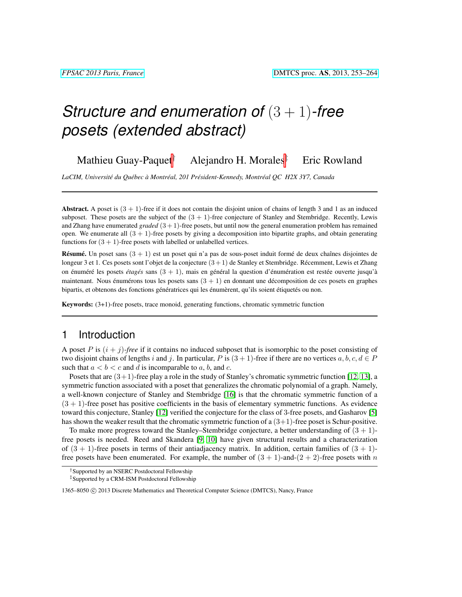Mathieu Guay-Paquet<sup>†</sup> Alejandro H. Morales<sup>‡</sup> Eric Rowland

*LaCIM, Universite du Qu ´ ebec ´ a Montr ` eal, 201 Pr ´ esident-Kennedy, Montr ´ eal QC H2X 3Y7, Canada ´*

Abstract. A poset is  $(3 + 1)$ -free if it does not contain the disjoint union of chains of length 3 and 1 as an induced subposet. These posets are the subject of the  $(3 + 1)$ -free conjecture of Stanley and Stembridge. Recently, Lewis and Zhang have enumerated *graded* (3 + 1)-free posets, but until now the general enumeration problem has remained open. We enumerate all  $(3 + 1)$ -free posets by giving a decomposition into bipartite graphs, and obtain generating functions for  $(3 + 1)$ -free posets with labelled or unlabelled vertices.

**Résumé.** Un poset sans  $(3 + 1)$  est un poset qui n'a pas de sous-poset induit formé de deux chaînes disjointes de longeur 3 et 1. Ces posets sont l'objet de la conjecture  $(3+1)$  de Stanley et Stembridge. Récemment, Lewis et Zhang on énum éré les posets étagés sans  $(3 + 1)$ , mais en général la question d'énum ération est restée ouverte jusqu'à maintenant. Nous énumérons tous les posets sans  $(3 + 1)$  en donnant une décomposition de ces posets en graphes bipartis, et obtenons des fonctions génératrices qui les énumèrent, qu'ils soient étiquetés ou non.

Keywords: (3+1)-free posets, trace monoid, generating functions, chromatic symmetric function

### 1 Introduction

A poset P is  $(i + j)$ -free if it contains no induced subposet that is isomorphic to the poset consisting of two disjoint chains of lengths i and j. In particular, P is  $(3 + 1)$ -free if there are no vertices a, b, c,  $d \in P$ such that  $a < b < c$  and d is incomparable to a, b, and c.

Posets that are  $(3+1)$ -free play a role in the study of Stanley's chromatic symmetric function [\[12,](#page-11-0) [13\]](#page-11-1), a symmetric function associated with a poset that generalizes the chromatic polynomial of a graph. Namely, a well-known conjecture of Stanley and Stembridge [\[16\]](#page-11-2) is that the chromatic symmetric function of a  $(3 + 1)$ -free poset has positive coefficients in the basis of elementary symmetric functions. As evidence toward this conjecture, Stanley [\[12\]](#page-11-0) verified the conjecture for the class of 3-free posets, and Gasharov [\[5\]](#page-11-3) has shown the weaker result that the chromatic symmetric function of a  $(3+1)$ -free poset is Schur-positive.

To make more progress toward the Stanley–Stembridge conjecture, a better understanding of  $(3 + 1)$ free posets is needed. Reed and Skandera [\[9,](#page-11-4) [10\]](#page-11-5) have given structural results and a characterization of  $(3 + 1)$ -free posets in terms of their antiadjacency matrix. In addition, certain families of  $(3 + 1)$ free posets have been enumerated. For example, the number of  $(3 + 1)$ -and- $(2 + 2)$ -free posets with n

<sup>†</sup>Supported by an NSERC Postdoctoral Fellowship

<sup>‡</sup>Supported by a CRM-ISM Postdoctoral Fellowship

<sup>1365–8050 © 2013</sup> Discrete Mathematics and Theoretical Computer Science (DMTCS), Nancy, France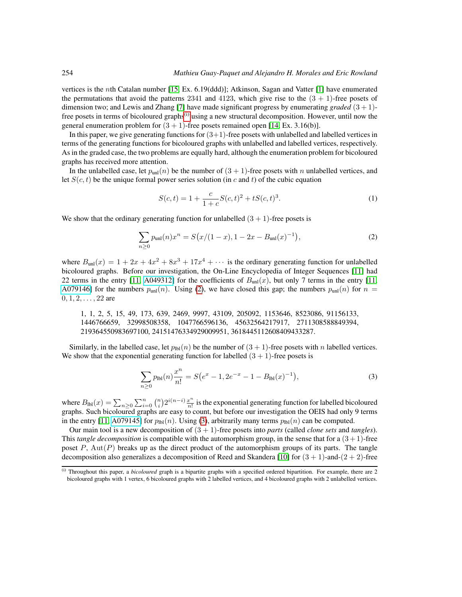vertices is the nth Catalan number [\[15,](#page-11-6) Ex. 6.19(ddd)]; Atkinson, Sagan and Vatter [\[1\]](#page-11-7) have enumerated the permutations that avoid the patterns 2341 and 4123, which give rise to the  $(3 + 1)$ -free posets of dimension two; and Lewis and Zhang [\[7\]](#page-11-8) have made significant progress by enumerating *graded*  $(3 + 1)$ free posets in terms of bicoloured graphs $(i)$  using a new structural decomposition. However, until now the general enumeration problem for  $(3 + 1)$ -free posets remained open [\[14,](#page-11-9) Ex. 3.16(b)].

In this paper, we give generating functions for  $(3+1)$ -free posets with unlabelled and labelled vertices in terms of the generating functions for bicoloured graphs with unlabelled and labelled vertices, respectively. As in the graded case, the two problems are equally hard, although the enumeration problem for bicoloured graphs has received more attention.

In the unlabelled case, let  $p_{\text{unl}}(n)$  be the number of  $(3 + 1)$ -free posets with n unlabelled vertices, and let  $S(c, t)$  be the unique formal power series solution (in c and t) of the cubic equation

<span id="page-1-3"></span><span id="page-1-1"></span>
$$
S(c,t) = 1 + \frac{c}{1+c}S(c,t)^{2} + tS(c,t)^{3}.
$$
 (1)

We show that the ordinary generating function for unlabelled  $(3 + 1)$ -free posets is

$$
\sum_{n\geq 0} p_{\text{unl}}(n) x^n = S\big(x/(1-x), 1-2x - B_{\text{unl}}(x)^{-1}\big),\tag{2}
$$

where  $B_{\text{unl}}(x) = 1 + 2x + 4x^2 + 8x^3 + 17x^4 + \cdots$  is the ordinary generating function for unlabelled bicoloured graphs. Before our investigation, the On-Line Encyclopedia of Integer Sequences [\[11\]](#page-11-10) had 22 terms in the entry [\[11,](#page-11-10) [A049312\]](http://oeis.org/A049312) for the coefficients of  $B_{unl}(x)$ , but only 7 terms in the entry [11, [A079146\]](http://oeis.org/A079146) for the numbers  $p_{\text{unl}}(n)$ . Using [\(2\)](#page-1-1), we have closed this gap; the numbers  $p_{\text{unl}}(n)$  for  $n =$  $0, 1, 2, \ldots, 22$  are

1, 1, 2, 5, 15, 49, 173, 639, 2469, 9997, 43109, 205092, 1153646, 8523086, 91156133, 1446766659, 32998508358, 1047766596136, 45632564217917, 2711308588849394, 219364550983697100, 24151476334929009951, 3618445112608409433287.

Similarly, in the labelled case, let  $p_{\text{lb}}(n)$  be the number of  $(3 + 1)$ -free posets with n labelled vertices. We show that the exponential generating function for labelled  $(3 + 1)$ -free posets is

<span id="page-1-2"></span>
$$
\sum_{n\geq 0} p_{\text{lbl}}(n) \frac{x^n}{n!} = S(e^x - 1, 2e^{-x} - 1 - B_{\text{lbl}}(x)^{-1}), \tag{3}
$$

where  $B_{\text{bb}}(x) = \sum_{n \geq 0} \sum_{i=0}^{n} {n \choose i} 2^{i(n-i)} \frac{x^n}{n!}$  $\frac{x^n}{n!}$  is the exponential generating function for labelled bicoloured graphs. Such bicoloured graphs are easy to count, but before our investigation the OEIS had only 9 terms in the entry [\[11,](#page-11-10) [A079145\]](http://oeis.org/A079145) for  $p_{\text{lb}}(n)$ . Using [\(3\)](#page-1-2), arbitrarily many terms  $p_{\text{lb}}(n)$  can be computed.

Our main tool is a new decomposition of (3 + 1)-free posets into *parts* (called *clone sets* and *tangles*). This *tangle decomposition* is compatible with the automorphism group, in the sense that for a (3 + 1)-free poset  $P$ ,  $Aut(P)$  breaks up as the direct product of the automorphism groups of its parts. The tangle decomposition also generalizes a decomposition of Reed and Skandera [\[10\]](#page-11-5) for  $(3 + 1)$ -and- $(2 + 2)$ -free

<span id="page-1-0"></span><sup>(</sup>i) Throughout this paper, a *bicoloured* graph is a bipartite graphs with a specified ordered bipartition. For example, there are 2 bicoloured graphs with 1 vertex, 6 bicoloured graphs with 2 labelled vertices, and 4 bicoloured graphs with 2 unlabelled vertices.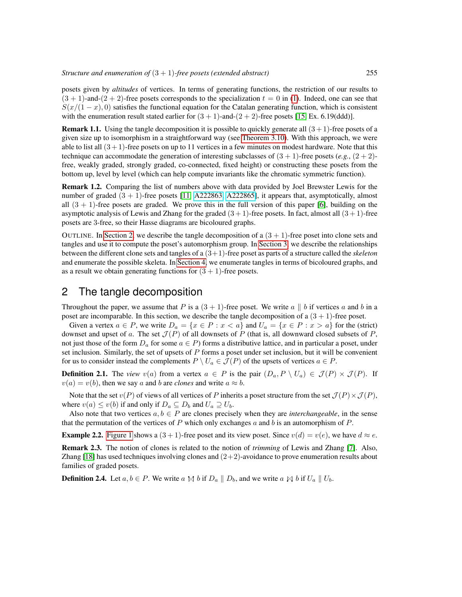posets given by *altitudes* of vertices. In terms of generating functions, the restriction of our results to  $(3 + 1)$ -and- $(2 + 2)$ -free posets corresponds to the specialization  $t = 0$  in [\(1\)](#page-1-3). Indeed, one can see that  $S(x/(1-x), 0)$  satisfies the functional equation for the Catalan generating function, which is consistent with the enumeration result stated earlier for  $(3 + 1)$ -and- $(2 + 2)$ -free posets [\[15,](#page-11-6) Ex. 6.19(ddd)].

**Remark 1.1.** Using the tangle decomposition it is possible to quickly generate all  $(3 + 1)$ -free posets of a given size up to isomorphism in a straightforward way (see [Theorem 3.10\)](#page-7-0). With this approach, we were able to list all  $(3+1)$ -free posets on up to 11 vertices in a few minutes on modest hardware. Note that this technique can accommodate the generation of interesting subclasses of  $(3 + 1)$ -free posets (*e.g.*,  $(2 + 2)$ free, weakly graded, strongly graded, co-connected, fixed height) or constructing these posets from the bottom up, level by level (which can help compute invariants like the chromatic symmetric function).

Remark 1.2. Comparing the list of numbers above with data provided by Joel Brewster Lewis for the number of graded  $(3 + 1)$ -free posets [\[11,](#page-11-10) [A222863,](http://oeis.org/A222863) [A222865\]](http://oeis.org/A222865), it appears that, asymptotically, almost all  $(3 + 1)$ -free posets are graded. We prove this in the full version of this paper [\[6\]](#page-11-11), building on the asymptotic analysis of Lewis and Zhang for the graded  $(3 + 1)$ -free posets. In fact, almost all  $(3 + 1)$ -free posets are 3-free, so their Hasse diagrams are bicoloured graphs.

OUTLINE. In [Section 2,](#page-2-0) we describe the tangle decomposition of a  $(3 + 1)$ -free poset into clone sets and tangles and use it to compute the poset's automorphism group. In [Section 3,](#page-5-0) we describe the relationships between the different clone sets and tangles of a (3+1)-free poset as parts of a structure called the *skeleton* and enumerate the possible skeleta. In [Section 4,](#page-9-0) we enumerate tangles in terms of bicoloured graphs, and as a result we obtain generating functions for  $(3 + 1)$ -free posets.

# <span id="page-2-0"></span>2 The tangle decomposition

Throughout the paper, we assume that P is a  $(3 + 1)$ -free poset. We write a || b if vertices a and b in a poset are incomparable. In this section, we describe the tangle decomposition of a  $(3 + 1)$ -free poset.

Given a vertex  $a \in P$ , we write  $D_a = \{x \in P : x < a\}$  and  $U_a = \{x \in P : x > a\}$  for the (strict) downset and upset of a. The set  $\mathcal{J}(P)$  of all downsets of P (that is, all downward closed subsets of P, not just those of the form  $D_a$  for some  $a \in P$ ) forms a distributive lattice, and in particular a poset, under set inclusion. Similarly, the set of upsets of  $P$  forms a poset under set inclusion, but it will be convenient for us to consider instead the complements  $P \setminus U_a \in \mathcal{J}(P)$  of the upsets of vertices  $a \in P$ .

**Definition 2.1.** The *view* v(a) from a vertex  $a \in P$  is the pair  $(D_a, P \setminus U_a) \in \mathcal{J}(P) \times \mathcal{J}(P)$ . If  $v(a) = v(b)$ , then we say a and b are *clones* and write  $a \approx b$ .

Note that the set  $v(P)$  of views of all vertices of P inherits a poset structure from the set  $\mathcal{J}(P) \times \mathcal{J}(P)$ , where  $v(a) \le v(b)$  if and only if  $D_a \subseteq D_b$  and  $U_a \supseteq U_b$ .

Also note that two vertices  $a, b \in P$  are clones precisely when they are *interchangeable*, in the sense that the permutation of the vertices of  $P$  which only exchanges  $a$  and  $b$  is an automorphism of  $P$ .

**Example 2.2.** [Figure 1](#page-3-0) shows a  $(3 + 1)$ -free poset and its view poset. Since  $v(d) = v(e)$ , we have  $d \approx e$ .

Remark 2.3. The notion of clones is related to the notion of *trimming* of Lewis and Zhang [\[7\]](#page-11-8). Also, Zhang  $[18]$  has used techniques involving clones and  $(2+2)$ -avoidance to prove enumeration results about families of graded posets.

**Definition 2.4.** Let  $a, b \in P$ . We write a  $\bowtie b$  if  $D_a \parallel D_b$ , and we write a  $\bowtie b$  if  $U_a \parallel U_b$ .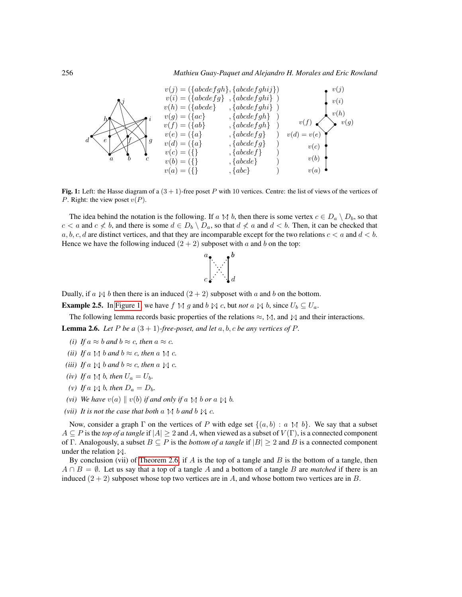<span id="page-3-0"></span>

Fig. 1: Left: the Hasse diagram of a  $(3 + 1)$ -free poset P with 10 vertices. Centre: the list of views of the vertices of P. Right: the view poset  $v(P)$ .

The idea behind the notation is the following. If a  $\uparrow$  d, then there is some vertex  $c \in D_a \setminus D_b$ , so that  $c < a$  and  $c \nless b$ , and there is some  $d \in D_b \setminus D_a$ , so that  $d \nless a$  and  $d < b$ . Then, it can be checked that a, b, c, d are distinct vertices, and that they are incomparable except for the two relations  $c < a$  and  $d < b$ . Hence we have the following induced  $(2 + 2)$  subposet with a and b on the top:



Dually, if a  $\mathbb{N}$  b then there is an induced  $(2 + 2)$  subposet with a and b on the bottom.

**Example 2.5.** In [Figure 1,](#page-3-0) we have  $f \bowtie g$  and  $b \bowtie c$ , but *not*  $a \bowtie b$ , since  $U_b \subseteq U_a$ .

<span id="page-3-1"></span>The following lemma records basic properties of the relations  $\approx$ ,  $\mathbb{M}$ , and  $\mathbb{M}$  and their interactions. **Lemma 2.6.** *Let*  $P$  *be*  $a(3+1)$ *-free-poset, and let*  $a, b, c$  *be any vertices of*  $P$ *.* 

- *(i) If*  $a \approx b$  *and*  $b \approx c$ *, then*  $a \approx c$ *.*
- *(ii) If*  $a \uparrow a$  *b and*  $b \approx c$ *, then*  $a \uparrow a$  *c.*
- *(iii) If*  $a \bowtie b$  *and*  $b \approx c$ *, then*  $a \bowtie c$ *.*
- *(iv) If*  $a \Join b$ *, then*  $U_a = U_b$ *.*
- *(v) If*  $a \geq b$ *, then*  $D_a = D_b$ *.*
- *(vi) We have*  $v(a) \parallel v(b)$  *if and only if* a  $\Join b$  *b or* a  $\Join b$ .
- *(vii) It is not the case that both*  $a \Join b$  *and*  $b \Join c$ *.*

Now, consider a graph  $\Gamma$  on the vertices of P with edge set  $\{(a, b) : a \bowtie b\}$ . We say that a subset  $A \subseteq P$  is the *top of a tangle* if  $|A| \ge 2$  and A, when viewed as a subset of  $V(\Gamma)$ , is a connected component of Γ. Analogously, a subset  $B \subseteq P$  is the *bottom of a tangle* if  $|B| \ge 2$  and B is a connected component under the relation  $\mathbb{N}$ .

<span id="page-3-2"></span>By conclusion (vii) of [Theorem 2.6,](#page-3-1) if  $A$  is the top of a tangle and  $B$  is the bottom of a tangle, then  $A \cap B = \emptyset$ . Let us say that a top of a tangle A and a bottom of a tangle B are *matched* if there is an induced  $(2 + 2)$  subposet whose top two vertices are in A, and whose bottom two vertices are in B.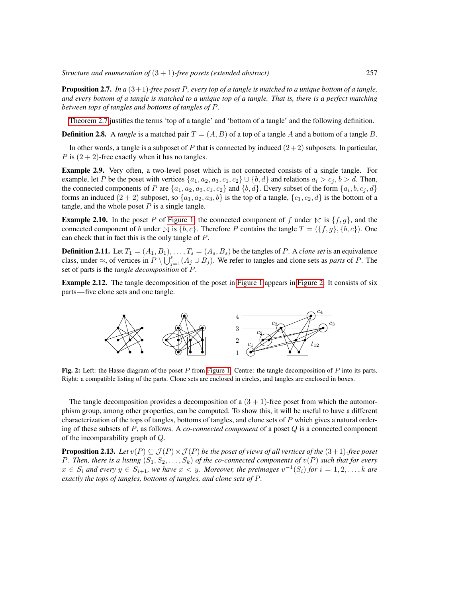Proposition 2.7. *In a* (3+1)*-free poset* P*, every top of a tangle is matched to a unique bottom of a tangle, and every bottom of a tangle is matched to a unique top of a tangle. That is, there is a perfect matching between tops of tangles and bottoms of tangles of* P*.*

[Theorem 2.7](#page-3-2) justifies the terms 'top of a tangle' and 'bottom of a tangle' and the following definition.

**Definition 2.8.** A *tangle* is a matched pair  $T = (A, B)$  of a top of a tangle A and a bottom of a tangle B.

In other words, a tangle is a subposet of P that is connected by induced  $(2+2)$  subposets. In particular, P is  $(2 + 2)$ -free exactly when it has no tangles.

Example 2.9. Very often, a two-level poset which is not connected consists of a single tangle. For example, let P be the poset with vertices  $\{a_1, a_2, a_3, c_1, c_2\} \cup \{b, d\}$  and relations  $a_i > c_j, b > d$ . Then, the connected components of P are  $\{a_1, a_2, a_3, c_1, c_2\}$  and  $\{b, d\}$ . Every subset of the form  $\{a_i, b, c_j, d\}$ forms an induced  $(2 + 2)$  subposet, so  $\{a_1, a_2, a_3, b\}$  is the top of a tangle,  $\{c_1, c_2, d\}$  is the bottom of a tangle, and the whole poset  $P$  is a single tangle.

**Example 2.10.** In the poset P of [Figure 1,](#page-3-0) the connected component of f under  $\bowtie$  is  $\{f, g\}$ , and the connected component of b under  $\mathbb{N}$  is  $\{b, c\}$ . Therefore P contains the tangle  $T = (\{f, g\}, \{b, c\})$ . One can check that in fact this is the only tangle of P.

**Definition 2.11.** Let  $T_1 = (A_1, B_1), \ldots, T_s = (A_s, B_s)$  be the tangles of P. A *clone set* is an equivalence class, under  $\approx$ , of vertices in  $P \setminus \bigcup_{j=1}^{s} (A_j \cup B_j)$ . We refer to tangles and clone sets as *parts* of P. The set of parts is the *tangle decomposition* of P.

<span id="page-4-0"></span>Example 2.12. The tangle decomposition of the poset in [Figure 1](#page-3-0) appears in [Figure 2.](#page-4-0) It consists of six parts—five clone sets and one tangle.



Fig. 2: Left: the Hasse diagram of the poset P from [Figure 1.](#page-3-0) Centre: the tangle decomposition of P into its parts. Right: a compatible listing of the parts. Clone sets are enclosed in circles, and tangles are enclosed in boxes.

The tangle decomposition provides a decomposition of a  $(3 + 1)$ -free poset from which the automorphism group, among other properties, can be computed. To show this, it will be useful to have a different characterization of the tops of tangles, bottoms of tangles, and clone sets of  $P$  which gives a natural ordering of these subsets of P, as follows. A *co-connected component* of a poset Q is a connected component of the incomparability graph of Q.

**Proposition 2.13.** *Let*  $v(P) \subseteq \mathcal{J}(P) \times \mathcal{J}(P)$  *be the poset of views of all vertices of the*  $(3+1)$ *-free poset* P. Then, there is a listing  $(S_1, S_2, \ldots, S_k)$  of the co-connected components of  $v(P)$  such that for every  $x \in S_i$  and every  $y \in S_{i+1}$ , we have  $x < y$ . Moreover, the preimages  $v^{-1}(S_i)$  for  $i = 1, 2, ..., k$  are *exactly the tops of tangles, bottoms of tangles, and clone sets of* P*.*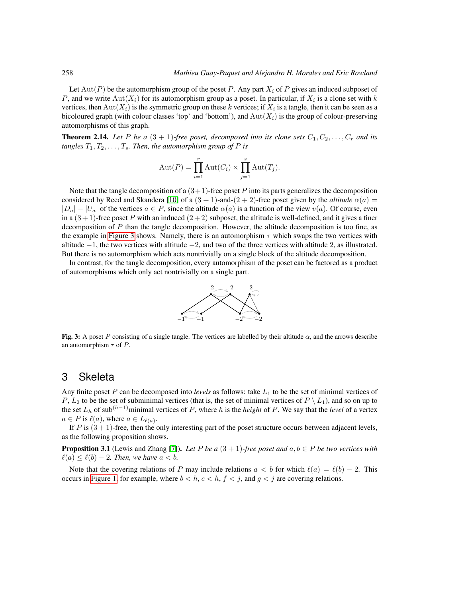Let  $Aut(P)$  be the automorphism group of the poset P. Any part  $X_i$  of P gives an induced subposet of P, and we write  $\text{Aut}(X_i)$  for its automorphism group as a poset. In particular, if  $X_i$  is a clone set with k vertices, then  $Aut(X_i)$  is the symmetric group on these k vertices; if  $X_i$  is a tangle, then it can be seen as a bicoloured graph (with colour classes 'top' and 'bottom'), and  $Aut(X_i)$  is the group of colour-preserving automorphisms of this graph.

**Theorem 2.14.** Let P be a  $(3 + 1)$ -free poset, decomposed into its clone sets  $C_1, C_2, \ldots, C_r$  and its *tangles*  $T_1, T_2, \ldots, T_s$ *. Then, the automorphism group of*  $P$  *is* 

$$
Aut(P) = \prod_{i=1}^{r} Aut(C_i) \times \prod_{j=1}^{s} Aut(T_j).
$$

Note that the tangle decomposition of a  $(3+1)$ -free poset P into its parts generalizes the decomposition considered by Reed and Skandera [\[10\]](#page-11-5) of a  $(3 + 1)$ -and- $(2 + 2)$ -free poset given by the *altitude*  $\alpha(a)$  =  $|D_a| - |U_a|$  of the vertices  $a \in P$ , since the altitude  $\alpha(a)$  is a function of the view  $v(a)$ . Of course, even in a  $(3+1)$ -free poset P with an induced  $(2+2)$  subposet, the altitude is well-defined, and it gives a finer decomposition of P than the tangle decomposition. However, the altitude decomposition is too fine, as the example in [Figure 3](#page-5-1) shows. Namely, there is an automorphism  $\tau$  which swaps the two vertices with altitude  $-1$ , the two vertices with altitude  $-2$ , and two of the three vertices with altitude 2, as illustrated. But there is no automorphism which acts nontrivially on a single block of the altitude decomposition.

<span id="page-5-1"></span>In contrast, for the tangle decomposition, every automorphism of the poset can be factored as a product of automorphisms which only act nontrivially on a single part.



Fig. 3: A poset P consisting of a single tangle. The vertices are labelled by their altitude  $\alpha$ , and the arrows describe an automorphism  $\tau$  of P.

#### <span id="page-5-0"></span>3 Skeleta

Any finite poset  $P$  can be decomposed into *levels* as follows: take  $L_1$  to be the set of minimal vertices of P,  $L_2$  to be the set of subminimal vertices (that is, the set of minimal vertices of  $P \setminus L_1$ ), and so on up to the set  $L_h$  of sub<sup>(h-1)</sup>minimal vertices of P, where h is the *height* of P. We say that the *level* of a vertex  $a \in P$  is  $\ell(a)$ , where  $a \in L_{\ell(a)}$ .

If P is  $(3 + 1)$ -free, then the only interesting part of the poset structure occurs between adjacent levels, as the following proposition shows.

<span id="page-5-2"></span>**Proposition 3.1** (Lewis and Zhang [\[7\]](#page-11-8)). Let P be a  $(3 + 1)$ -free poset and  $a, b \in P$  be two vertices with  $\ell(a) \leq \ell(b) - 2$ . Then, we have  $a < b$ .

Note that the covering relations of P may include relations  $a < b$  for which  $\ell(a) = \ell(b) - 2$ . This occurs in [Figure 1,](#page-3-0) for example, where  $b < h, c < h, f < j$ , and  $g < j$  are covering relations.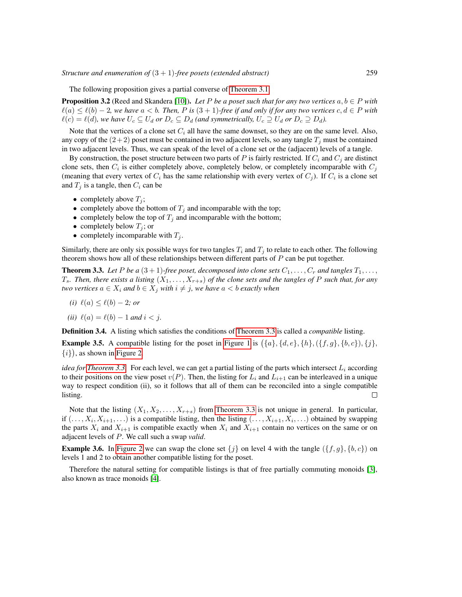The following proposition gives a partial converse of [Theorem 3.1.](#page-5-2)

**Proposition 3.2** (Reed and Skandera [\[10\]](#page-11-5)). Let P be a poset such that for any two vertices  $a, b \in P$  with  $\ell(a) \leq \ell(b) - 2$ *, we have*  $a < b$ *. Then, P is*  $(3 + 1)$ *-free if and only if for any two vertices*  $c, d \in P$  *with*  $\ell(c) = \ell(d)$ *, we have*  $U_c \subseteq U_d$  *or*  $D_c \subseteq D_d$  *(and symmetrically,*  $U_c \supseteq U_d$  *or*  $D_c \supseteq D_d$ *).* 

Note that the vertices of a clone set  $C_i$  all have the same downset, so they are on the same level. Also, any copy of the  $(2+2)$  poset must be contained in two adjacent levels, so any tangle  $T_i$  must be contained in two adjacent levels. Thus, we can speak of the level of a clone set or the (adjacent) levels of a tangle.

By construction, the poset structure between two parts of P is fairly restricted. If  $C_i$  and  $C_j$  are distinct clone sets, then  $C_i$  is either completely above, completely below, or completely incomparable with  $C_j$ (meaning that every vertex of  $C_i$  has the same relationship with every vertex of  $C_j$ ). If  $C_i$  is a clone set and  $T_j$  is a tangle, then  $C_i$  can be

- completely above  $T_i$ ;
- completely above the bottom of  $T_j$  and incomparable with the top;
- completely below the top of  $T_j$  and incomparable with the bottom;
- completely below  $T_j$ ; or
- completely incomparable with  $T_j$ .

Similarly, there are only six possible ways for two tangles  $T_i$  and  $T_j$  to relate to each other. The following theorem shows how all of these relationships between different parts of  $P$  can be put together.

<span id="page-6-0"></span>**Theorem 3.3.** Let P be a  $(3 + 1)$ -free poset, decomposed into clone sets  $C_1, \ldots, C_r$  and tangles  $T_1, \ldots,$  $T_s$ . Then, there exists a listing  $(X_1, \ldots, X_{r+s})$  of the clone sets and the tangles of P such that, for any *two vertices*  $a \in X_i$  *and*  $b \in X_j$  *with*  $i \neq j$ *, we have*  $a < b$  *exactly when* 

$$
(i) \ell(a) \leq \ell(b) - 2; or
$$

*(ii)*  $\ell(a) = \ell(b) - 1$  *and*  $i < j$ .

Definition 3.4. A listing which satisfies the conditions of [Theorem 3.3](#page-6-0) is called a *compatible* listing.

**Example 3.5.** A compatible listing for the poset in [Figure 1](#page-3-0) is  $({a}, {d}, e, {h}, ({f, g}, {b, c}), {j},$  $\{i\}$ , as shown in [Figure 2.](#page-4-0)

*idea for [Theorem 3.3.](#page-6-0)* For each level, we can get a partial listing of the parts which intersect  $L_i$  according to their positions on the view poset  $v(P)$ . Then, the listing for  $L_i$  and  $L_{i+1}$  can be interleaved in a unique way to respect condition (ii), so it follows that all of them can be reconciled into a single compatible listing.  $\Box$ 

Note that the listing  $(X_1, X_2, \ldots, X_{r+s})$  from [Theorem 3.3](#page-6-0) is not unique in general. In particular, if  $(\ldots, X_i, X_{i+1}, \ldots)$  is a compatible listing, then the listing  $(\ldots, X_{i+1}, X_i, \ldots)$  obtained by swapping the parts  $X_i$  and  $X_{i+1}$  is compatible exactly when  $X_i$  and  $X_{i+1}$  contain no vertices on the same or on adjacent levels of P. We call such a swap *valid*.

**Example 3.6.** In [Figure 2](#page-4-0) we can swap the clone set  $\{j\}$  on level 4 with the tangle  $(\{f, g\}, \{b, c\})$  on levels 1 and 2 to obtain another compatible listing for the poset.

Therefore the natural setting for compatible listings is that of free partially commuting monoids [\[3\]](#page-11-13), also known as trace monoids [\[4\]](#page-11-14).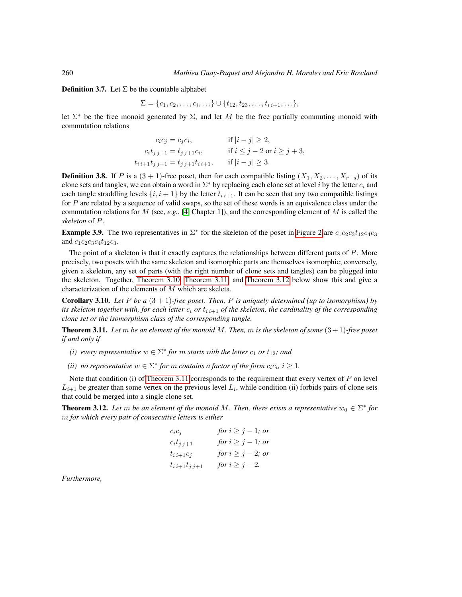**Definition 3.7.** Let  $\Sigma$  be the countable alphabet

$$
\Sigma = \{c_1, c_2, \ldots, c_i, \ldots\} \cup \{t_{12}, t_{23}, \ldots, t_{i i+1}, \ldots\},\
$$

let  $\Sigma^*$  be the free monoid generated by  $\Sigma$ , and let M be the free partially commuting monoid with commutation relations

$$
c_i c_j = c_j c_i, \qquad \text{if } |i - j| \ge 2,
$$
  
\n
$$
c_i t_{j j+1} = t_{j j+1} c_i, \qquad \text{if } i \le j - 2 \text{ or } i \ge j + 3,
$$
  
\n
$$
t_{i i+1} t_{j j+1} = t_{j j+1} t_{i i+1}, \qquad \text{if } |i - j| \ge 3.
$$

**Definition 3.8.** If P is a  $(3 + 1)$ -free poset, then for each compatible listing  $(X_1, X_2, \ldots, X_{r+s})$  of its clone sets and tangles, we can obtain a word in  $\Sigma^*$  by replacing each clone set at level i by the letter  $c_i$  and each tangle straddling levels  $\{i, i+1\}$  by the letter  $t_{i,i+1}$ . It can be seen that any two compatible listings for P are related by a sequence of valid swaps, so the set of these words is an equivalence class under the commutation relations for M (see,  $e.g.,$  [\[4,](#page-11-14) Chapter 1]), and the corresponding element of M is called the *skeleton* of P.

<span id="page-7-3"></span>**Example 3.9.** The two representatives in  $\Sigma^*$  for the skeleton of the poset in [Figure 2](#page-4-0) are  $c_1c_2c_3t_{12}c_4c_3$ and  $c_1c_2c_3c_4t_{12}c_3$ .

The point of a skeleton is that it exactly captures the relationships between different parts of P. More precisely, two posets with the same skeleton and isomorphic parts are themselves isomorphic; conversely, given a skeleton, any set of parts (with the right number of clone sets and tangles) can be plugged into the skeleton. Together, [Theorem 3.10,](#page-7-0) [Theorem 3.11,](#page-7-1) and [Theorem 3.12](#page-7-2) below show this and give a characterization of the elements of M which are skeleta.

<span id="page-7-0"></span>Corollary 3.10. *Let* P *be a* (3 + 1)*-free poset. Then,* P *is uniquely determined (up to isomorphism) by its skeleton together with, for each letter*  $c_i$  *or*  $t_{i,i+1}$  *of the skeleton, the cardinality of the corresponding clone set or the isomorphism class of the corresponding tangle.*

<span id="page-7-1"></span>Theorem 3.11. *Let* m *be an element of the monoid* M*. Then,* m *is the skeleton of some* (3 + 1)*-free poset if and only if*

*(i) every representative*  $w \in \Sigma^*$  *for*  $m$  *starts with the letter*  $c_1$  *or*  $t_{12}$ *; and* 

*(ii) no representative*  $w \in \Sigma^*$  *for*  $m$  *contains a factor of the form*  $c_i c_i$ ,  $i \geq 1$ *.* 

Note that condition (i) of [Theorem 3.11](#page-7-1) corresponds to the requirement that every vertex of  $P$  on level  $L_{i+1}$  be greater than some vertex on the previous level  $L_i$ , while condition (ii) forbids pairs of clone sets that could be merged into a single clone set.

<span id="page-7-2"></span>**Theorem 3.12.** Let m be an element of the monoid M. Then, there exists a representative  $w_0 \in \Sigma^*$  for m *for which every pair of consecutive letters is either*

$$
c_i c_j \tfor i \geq j-1; or\nc_i t_{j j+1} \tfor i \geq j-1; or\nt_{i i+1} c_j \tfor i \geq j-2; or\nt_{i i+1} t_{j j+1} \tfor i \geq j-2.
$$

*Furthermore,*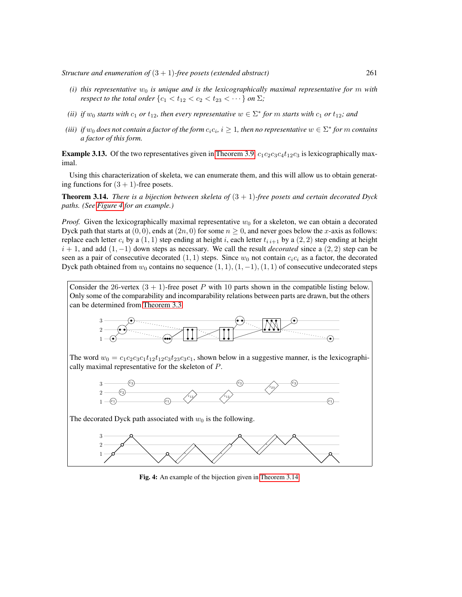- *(i)* this representative  $w_0$  is unique and is the lexicographically maximal representative for m with *respect to the total order*  $\{c_1 < t_{12} < c_2 < t_{23} < \cdots \}$  *on*  $\Sigma$ *;*
- *(ii) if*  $w_0$  *starts with*  $c_1$  *or*  $t_{12}$ *, then every representative*  $w \in \Sigma^*$  *for*  $m$  *starts with*  $c_1$  *or*  $t_{12}$ *; and*
- (*iii*) if  $w_0$  does not contain a factor of the form  $c_ic_i$ ,  $i \geq 1$ , then no representative  $w \in \Sigma^*$  for  $m$  contains *a factor of this form.*

**Example 3.13.** Of the two representatives given in [Theorem 3.9,](#page-7-3)  $c_1c_2c_3c_4t_{12}c_3$  is lexicographically maximal.

Using this characterization of skeleta, we can enumerate them, and this will allow us to obtain generating functions for  $(3 + 1)$ -free posets.

<span id="page-8-1"></span>Theorem 3.14. *There is a bijection between skeleta of* (3 + 1)*-free posets and certain decorated Dyck paths. (See [Figure 4](#page-8-0) for an example.)*

*Proof.* Given the lexicographically maximal representative  $w_0$  for a skeleton, we can obtain a decorated Dyck path that starts at  $(0, 0)$ , ends at  $(2n, 0)$  for some  $n \ge 0$ , and never goes below the x-axis as follows: replace each letter  $c_i$  by a  $(1, 1)$  step ending at height i, each letter  $t_{i,i+1}$  by a  $(2, 2)$  step ending at height  $i + 1$ , and add  $(1, -1)$  down steps as necessary. We call the result *decorated* since a  $(2, 2)$  step can be seen as a pair of consecutive decorated (1, 1) steps. Since  $w_0$  not contain  $c_i c_i$  as a factor, the decorated Dyck path obtained from  $w_0$  contains no sequence  $(1, 1), (1, -1), (1, 1)$  of consecutive undecorated steps

<span id="page-8-0"></span>Consider the 26-vertex  $(3 + 1)$ -free poset P with 10 parts shown in the compatible listing below. Only some of the comparability and incomparability relations between parts are drawn, but the others can be determined from [Theorem 3.3.](#page-6-0)

$$
\begin{array}{c|c}\n\hline\n3 & 0 \\
\hline\n2 & 0 \\
\hline\n1 & 0\n\end{array}
$$

The word  $w_0 = c_1c_2c_3c_1t_{12}t_{12}c_3t_{23}c_3c_1$ , shown below in a suggestive manner, is the lexicographically maximal representative for the skeleton of P.



The decorated Dyck path associated with  $w_0$  is the following.



Fig. 4: An example of the bijection given in [Theorem 3.14.](#page-8-1)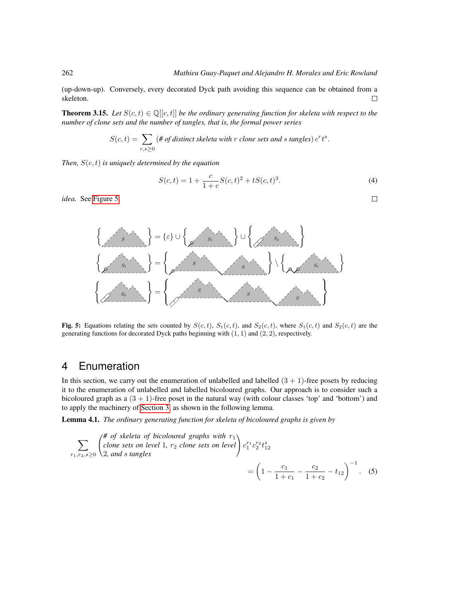(up-down-up). Conversely, every decorated Dyck path avoiding this sequence can be obtained from a skeleton.  $\Box$ 

<span id="page-9-4"></span>**Theorem 3.15.** Let  $S(c, t) \in \mathbb{Q}[[c, t]]$  be the ordinary generating function for skeleta with respect to the *number of clone sets and the number of tangles, that is, the formal power series*

$$
S(c,t) = \sum_{r,s \geq 0} (\# of distinct \, skeletal \, with \, r \, clone \, sets \, and \, s \, tangles) \, c^r t^s.
$$

*Then,* S(c, t) *is uniquely determined by the equation*

$$
S(c,t) = 1 + \frac{c}{1+c}S(c,t)^{2} + tS(c,t)^{3}.
$$
\n(4)

<span id="page-9-3"></span> $\Box$ 

<span id="page-9-1"></span>*idea.* See [Figure 5.](#page-9-1)



Fig. 5: Equations relating the sets counted by  $S(c, t)$ ,  $S_1(c, t)$ , and  $S_2(c, t)$ , where  $S_1(c, t)$  and  $S_2(c, t)$  are the generating functions for decorated Dyck paths beginning with  $(1, 1)$  and  $(2, 2)$ , respectively.

# <span id="page-9-0"></span>4 Enumeration

In this section, we carry out the enumeration of unlabelled and labelled  $(3 + 1)$ -free posets by reducing it to the enumeration of unlabelled and labelled bicoloured graphs. Our approach is to consider such a bicoloured graph as a  $(3 + 1)$ -free poset in the natural way (with colour classes 'top' and 'bottom') and to apply the machinery of [Section 3,](#page-5-0) as shown in the following lemma.

<span id="page-9-2"></span>Lemma 4.1. *The ordinary generating function for skeleta of bicoloured graphs is given by*

$$
\sum_{r_1, r_2, s \ge 0} \begin{pmatrix} # \text{ of } skeletal \text{ of } biological \text{ graphs with } r_1 \\ clone \text{ sets on level } 1, r_2 \text{ clone sets on level} \end{pmatrix} c_1^{r_1} c_2^{r_2} t_{12}^s
$$
\n
$$
= \left(1 - \frac{c_1}{1 + c_1} - \frac{c_2}{1 + c_2} - t_{12}\right)^{-1}.\tag{5}
$$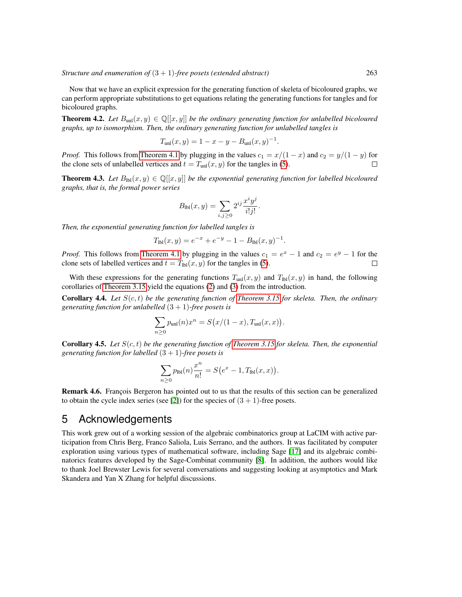Now that we have an explicit expression for the generating function of skeleta of bicoloured graphs, we can perform appropriate substitutions to get equations relating the generating functions for tangles and for bicoloured graphs.

**Theorem 4.2.** Let  $B_{\text{unl}}(x, y) \in \mathbb{Q}[[x, y]]$  be the ordinary generating function for unlabelled bicoloured *graphs, up to isomorphism. Then, the ordinary generating function for unlabelled tangles is*

$$
T_{\text{unl}}(x, y) = 1 - x - y - B_{\text{unl}}(x, y)^{-1}.
$$

*Proof.* This follows from [Theorem 4.1](#page-9-2) by plugging in the values  $c_1 = x/(1-x)$  and  $c_2 = y/(1-y)$  for the clone sets of unlabelled vertices and  $t = T_{rel}(x, y)$  for the tangles in (5) the clone sets of unlabelled vertices and  $t = T_{unl}(x, y)$  for the tangles in [\(5\)](#page-9-3).

**Theorem 4.3.** *Let*  $B_{\text{lb}}(x, y) \in \mathbb{Q}[[x, y]]$  *be the exponential generating function for labelled bicoloured graphs, that is, the formal power series*

$$
B_{\text{Ibl}}(x,y) = \sum_{i,j \geq 0} 2^{ij} \frac{x^i y^j}{i!j!}.
$$

*Then, the exponential generating function for labelled tangles is*

$$
T_{\text{lbl}}(x,y) = e^{-x} + e^{-y} - 1 - B_{\text{lbl}}(x,y)^{-1}.
$$

*Proof.* This follows from [Theorem 4.1](#page-9-2) by plugging in the values  $c_1 = e^x - 1$  and  $c_2 = e^y - 1$  for the clone sets of labelled vertices and  $t = T_{\text{lb}}(x, y)$  for the tangles in [\(5\)](#page-9-3).

With these expressions for the generating functions  $T_{unl}(x, y)$  and  $T_{bl}(x, y)$  in hand, the following corollaries of [Theorem 3.15](#page-9-4) yield the equations [\(2\)](#page-1-1) and [\(3\)](#page-1-2) from the introduction.

Corollary 4.4. *Let* S(c, t) *be the generating function of [Theorem 3.15](#page-9-4) for skeleta. Then, the ordinary generating function for unlabelled* (3 + 1)*-free posets is*

$$
\sum_{n\geq 0} p_{\text{unl}}(n) x^n = S\big(x/(1-x), T_{\text{unl}}(x,x)\big).
$$

Corollary 4.5. *Let* S(c, t) *be the generating function of [Theorem 3.15](#page-9-4) for skeleta. Then, the exponential generating function for labelled* (3 + 1)*-free posets is*

$$
\sum_{n\geq 0} p_{\text{lbl}}(n) \frac{x^n}{n!} = S(e^x - 1, T_{\text{lbl}}(x, x)).
$$

**Remark 4.6.** François Bergeron has pointed out to us that the results of this section can be generalized to obtain the cycle index series (see [\[2\]](#page-11-15)) for the species of  $(3 + 1)$ -free posets.

## 5 Acknowledgements

This work grew out of a working session of the algebraic combinatorics group at LaCIM with active participation from Chris Berg, Franco Saliola, Luis Serrano, and the authors. It was facilitated by computer exploration using various types of mathematical software, including Sage [\[17\]](#page-11-16) and its algebraic combinatorics features developed by the Sage-Combinat community [\[8\]](#page-11-17). In addition, the authors would like to thank Joel Brewster Lewis for several conversations and suggesting looking at asymptotics and Mark Skandera and Yan X Zhang for helpful discussions.